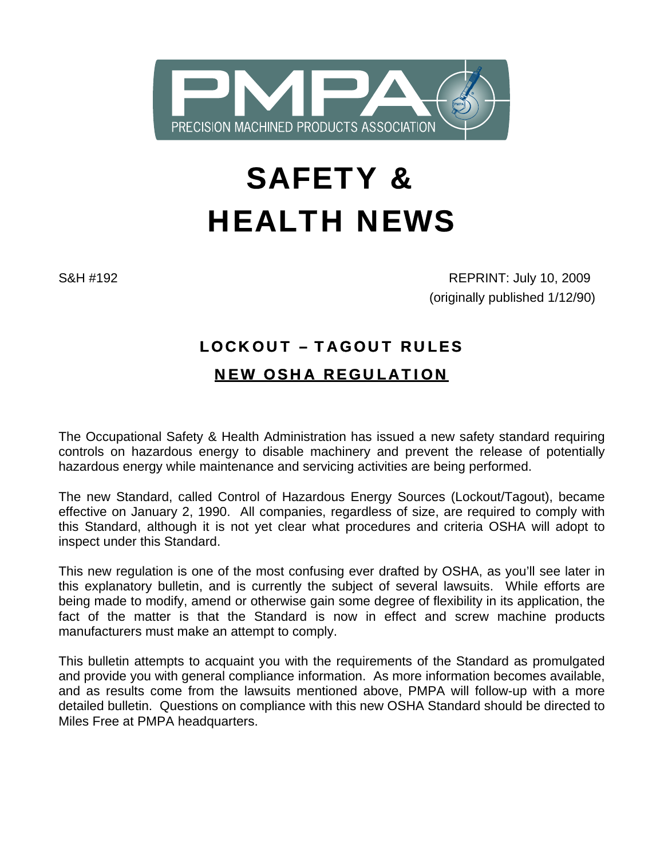

# SAFETY & HEALTH NEWS

S&H #192 REPRINT: July 10, 2009 (originally published 1/12/90)

# LOCKOUT – TAGOUT RULES NEW OSHA REGULATION

The Occupational Safety & Health Administration has issued a new safety standard requiring controls on hazardous energy to disable machinery and prevent the release of potentially hazardous energy while maintenance and servicing activities are being performed.

The new Standard, called Control of Hazardous Energy Sources (Lockout/Tagout), became effective on January 2, 1990. All companies, regardless of size, are required to comply with this Standard, although it is not yet clear what procedures and criteria OSHA will adopt to inspect under this Standard.

This new regulation is one of the most confusing ever drafted by OSHA, as you'll see later in this explanatory bulletin, and is currently the subject of several lawsuits. While efforts are being made to modify, amend or otherwise gain some degree of flexibility in its application, the fact of the matter is that the Standard is now in effect and screw machine products manufacturers must make an attempt to comply.

This bulletin attempts to acquaint you with the requirements of the Standard as promulgated and provide you with general compliance information. As more information becomes available, and as results come from the lawsuits mentioned above, PMPA will follow-up with a more detailed bulletin. Questions on compliance with this new OSHA Standard should be directed to Miles Free at PMPA headquarters.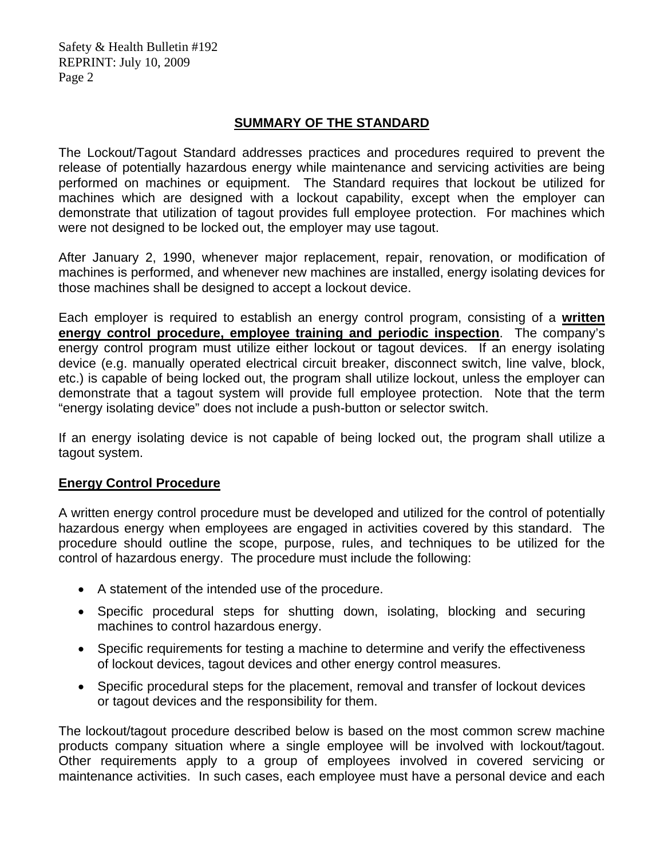#### **SUMMARY OF THE STANDARD**

The Lockout/Tagout Standard addresses practices and procedures required to prevent the release of potentially hazardous energy while maintenance and servicing activities are being performed on machines or equipment. The Standard requires that lockout be utilized for machines which are designed with a lockout capability, except when the employer can demonstrate that utilization of tagout provides full employee protection. For machines which were not designed to be locked out, the employer may use tagout.

After January 2, 1990, whenever major replacement, repair, renovation, or modification of machines is performed, and whenever new machines are installed, energy isolating devices for those machines shall be designed to accept a lockout device.

Each employer is required to establish an energy control program, consisting of a **written energy control procedure, employee training and periodic inspection**. The company's energy control program must utilize either lockout or tagout devices. If an energy isolating device (e.g. manually operated electrical circuit breaker, disconnect switch, line valve, block, etc.) is capable of being locked out, the program shall utilize lockout, unless the employer can demonstrate that a tagout system will provide full employee protection. Note that the term "energy isolating device" does not include a push-button or selector switch.

If an energy isolating device is not capable of being locked out, the program shall utilize a tagout system.

#### **Energy Control Procedure**

A written energy control procedure must be developed and utilized for the control of potentially hazardous energy when employees are engaged in activities covered by this standard. The procedure should outline the scope, purpose, rules, and techniques to be utilized for the control of hazardous energy. The procedure must include the following:

- A statement of the intended use of the procedure.
- Specific procedural steps for shutting down, isolating, blocking and securing machines to control hazardous energy.
- Specific requirements for testing a machine to determine and verify the effectiveness of lockout devices, tagout devices and other energy control measures.
- Specific procedural steps for the placement, removal and transfer of lockout devices or tagout devices and the responsibility for them.

The lockout/tagout procedure described below is based on the most common screw machine products company situation where a single employee will be involved with lockout/tagout. Other requirements apply to a group of employees involved in covered servicing or maintenance activities. In such cases, each employee must have a personal device and each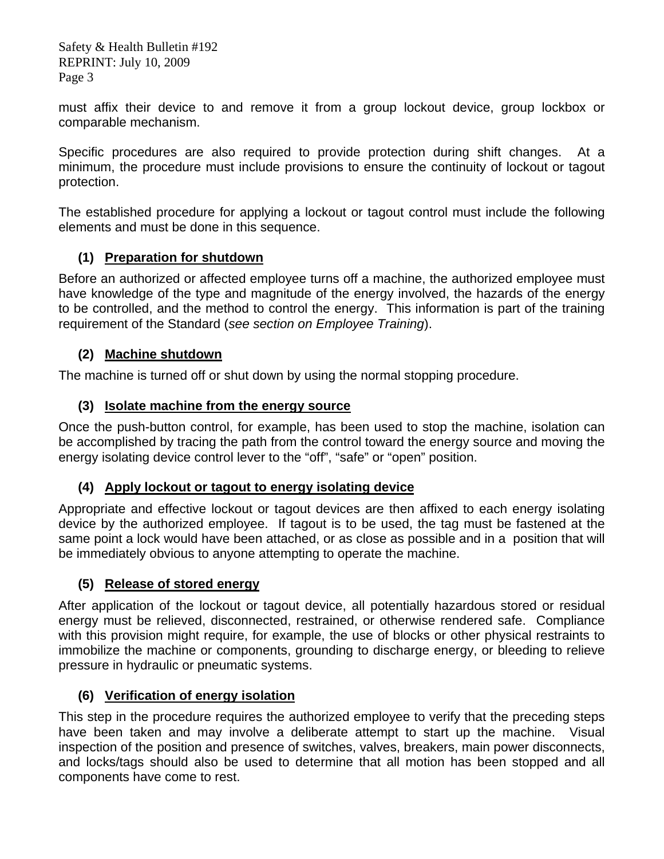must affix their device to and remove it from a group lockout device, group lockbox or comparable mechanism.

Specific procedures are also required to provide protection during shift changes. At a minimum, the procedure must include provisions to ensure the continuity of lockout or tagout protection.

The established procedure for applying a lockout or tagout control must include the following elements and must be done in this sequence.

# **(1) Preparation for shutdown**

Before an authorized or affected employee turns off a machine, the authorized employee must have knowledge of the type and magnitude of the energy involved, the hazards of the energy to be controlled, and the method to control the energy. This information is part of the training requirement of the Standard (*see section on Employee Training*).

# **(2) Machine shutdown**

The machine is turned off or shut down by using the normal stopping procedure.

# **(3) Isolate machine from the energy source**

Once the push-button control, for example, has been used to stop the machine, isolation can be accomplished by tracing the path from the control toward the energy source and moving the energy isolating device control lever to the "off", "safe" or "open" position.

# **(4) Apply lockout or tagout to energy isolating device**

Appropriate and effective lockout or tagout devices are then affixed to each energy isolating device by the authorized employee. If tagout is to be used, the tag must be fastened at the same point a lock would have been attached, or as close as possible and in a position that will be immediately obvious to anyone attempting to operate the machine.

# **(5) Release of stored energy**

After application of the lockout or tagout device, all potentially hazardous stored or residual energy must be relieved, disconnected, restrained, or otherwise rendered safe. Compliance with this provision might require, for example, the use of blocks or other physical restraints to immobilize the machine or components, grounding to discharge energy, or bleeding to relieve pressure in hydraulic or pneumatic systems.

# **(6) Verification of energy isolation**

This step in the procedure requires the authorized employee to verify that the preceding steps have been taken and may involve a deliberate attempt to start up the machine. Visual inspection of the position and presence of switches, valves, breakers, main power disconnects, and locks/tags should also be used to determine that all motion has been stopped and all components have come to rest.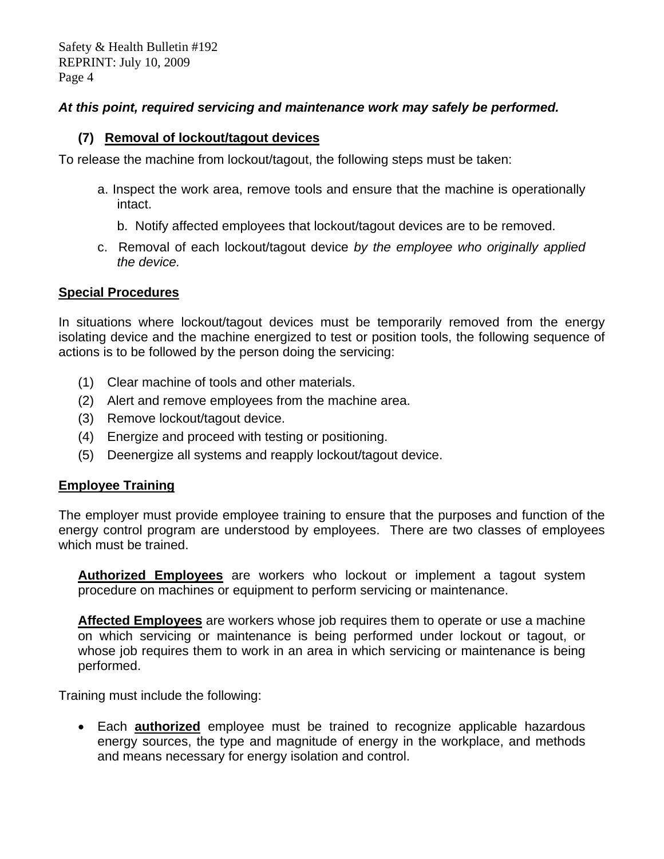#### *At this point, required servicing and maintenance work may safely be performed.*

#### **(7) Removal of lockout/tagout devices**

To release the machine from lockout/tagout, the following steps must be taken:

- a. Inspect the work area, remove tools and ensure that the machine is operationally intact.
	- b. Notify affected employees that lockout/tagout devices are to be removed.
- c. Removal of each lockout/tagout device *by the employee who originally applied the device.*

#### **Special Procedures**

In situations where lockout/tagout devices must be temporarily removed from the energy isolating device and the machine energized to test or position tools, the following sequence of actions is to be followed by the person doing the servicing:

- (1) Clear machine of tools and other materials.
- (2) Alert and remove employees from the machine area.
- (3) Remove lockout/tagout device.
- (4) Energize and proceed with testing or positioning.
- (5) Deenergize all systems and reapply lockout/tagout device.

#### **Employee Training**

The employer must provide employee training to ensure that the purposes and function of the energy control program are understood by employees. There are two classes of employees which must be trained.

**Authorized Employees** are workers who lockout or implement a tagout system procedure on machines or equipment to perform servicing or maintenance.

**Affected Employees** are workers whose job requires them to operate or use a machine on which servicing or maintenance is being performed under lockout or tagout, or whose job requires them to work in an area in which servicing or maintenance is being performed.

Training must include the following:

• Each **authorized** employee must be trained to recognize applicable hazardous energy sources, the type and magnitude of energy in the workplace, and methods and means necessary for energy isolation and control.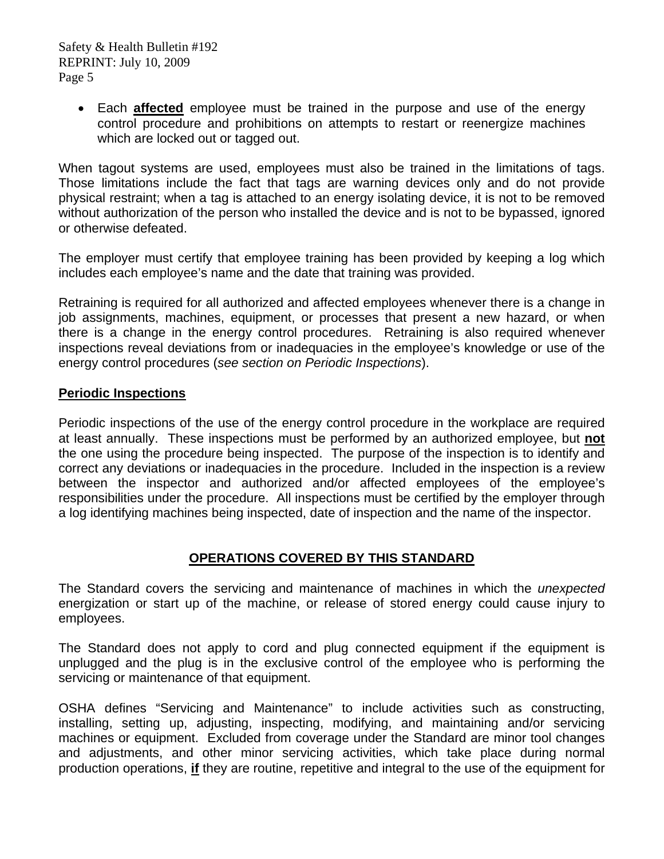• Each **affected** employee must be trained in the purpose and use of the energy control procedure and prohibitions on attempts to restart or reenergize machines which are locked out or tagged out.

When tagout systems are used, employees must also be trained in the limitations of tags. Those limitations include the fact that tags are warning devices only and do not provide physical restraint; when a tag is attached to an energy isolating device, it is not to be removed without authorization of the person who installed the device and is not to be bypassed, ignored or otherwise defeated.

The employer must certify that employee training has been provided by keeping a log which includes each employee's name and the date that training was provided.

Retraining is required for all authorized and affected employees whenever there is a change in job assignments, machines, equipment, or processes that present a new hazard, or when there is a change in the energy control procedures. Retraining is also required whenever inspections reveal deviations from or inadequacies in the employee's knowledge or use of the energy control procedures (*see section on Periodic Inspections*).

#### **Periodic Inspections**

Periodic inspections of the use of the energy control procedure in the workplace are required at least annually. These inspections must be performed by an authorized employee, but **not** the one using the procedure being inspected. The purpose of the inspection is to identify and correct any deviations or inadequacies in the procedure. Included in the inspection is a review between the inspector and authorized and/or affected employees of the employee's responsibilities under the procedure. All inspections must be certified by the employer through a log identifying machines being inspected, date of inspection and the name of the inspector.

# **OPERATIONS COVERED BY THIS STANDARD**

The Standard covers the servicing and maintenance of machines in which the *unexpected*  energization or start up of the machine, or release of stored energy could cause injury to employees.

The Standard does not apply to cord and plug connected equipment if the equipment is unplugged and the plug is in the exclusive control of the employee who is performing the servicing or maintenance of that equipment.

OSHA defines "Servicing and Maintenance" to include activities such as constructing, installing, setting up, adjusting, inspecting, modifying, and maintaining and/or servicing machines or equipment. Excluded from coverage under the Standard are minor tool changes and adjustments, and other minor servicing activities, which take place during normal production operations, **if** they are routine, repetitive and integral to the use of the equipment for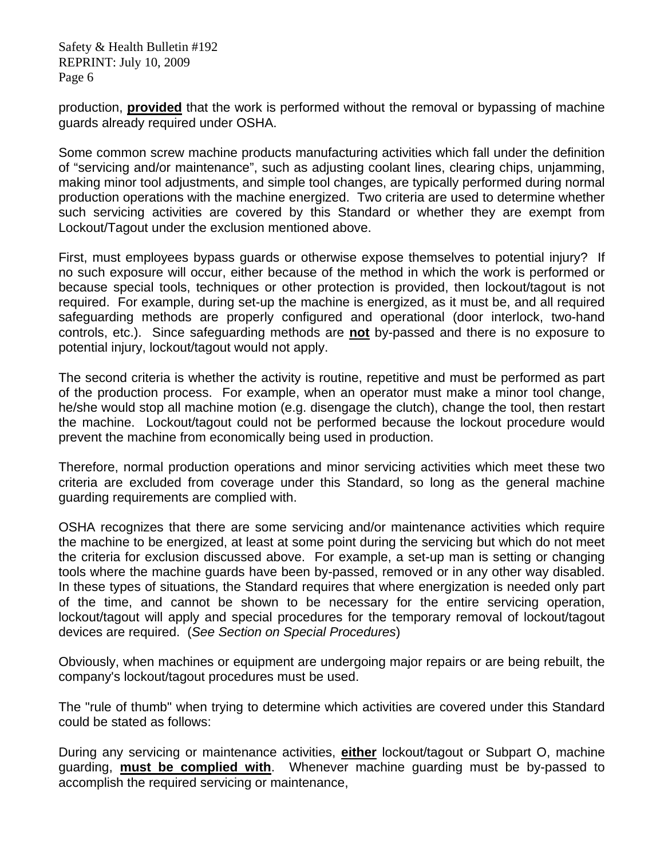production, **provided** that the work is performed without the removal or bypassing of machine guards already required under OSHA.

Some common screw machine products manufacturing activities which fall under the definition of "servicing and/or maintenance", such as adjusting coolant lines, clearing chips, unjamming, making minor tool adjustments, and simple tool changes, are typically performed during normal production operations with the machine energized. Two criteria are used to determine whether such servicing activities are covered by this Standard or whether they are exempt from Lockout/Tagout under the exclusion mentioned above.

First, must employees bypass guards or otherwise expose themselves to potential injury? If no such exposure will occur, either because of the method in which the work is performed or because special tools, techniques or other protection is provided, then lockout/tagout is not required. For example, during set-up the machine is energized, as it must be, and all required safeguarding methods are properly configured and operational (door interlock, two-hand controls, etc.). Since safeguarding methods are **not** by-passed and there is no exposure to potential injury, lockout/tagout would not apply.

The second criteria is whether the activity is routine, repetitive and must be performed as part of the production process. For example, when an operator must make a minor tool change, he/she would stop all machine motion (e.g. disengage the clutch), change the tool, then restart the machine. Lockout/tagout could not be performed because the lockout procedure would prevent the machine from economically being used in production.

Therefore, normal production operations and minor servicing activities which meet these two criteria are excluded from coverage under this Standard, so long as the general machine guarding requirements are complied with.

OSHA recognizes that there are some servicing and/or maintenance activities which require the machine to be energized, at least at some point during the servicing but which do not meet the criteria for exclusion discussed above. For example, a set-up man is setting or changing tools where the machine guards have been by-passed, removed or in any other way disabled. In these types of situations, the Standard requires that where energization is needed only part of the time, and cannot be shown to be necessary for the entire servicing operation, lockout/tagout will apply and special procedures for the temporary removal of lockout/tagout devices are required. (*See Section on Special Procedures*)

Obviously, when machines or equipment are undergoing major repairs or are being rebuilt, the company's lockout/tagout procedures must be used.

The "rule of thumb" when trying to determine which activities are covered under this Standard could be stated as follows:

During any servicing or maintenance activities, **either** lockout/tagout or Subpart O, machine guarding, **must be complied with**. Whenever machine guarding must be by-passed to accomplish the required servicing or maintenance,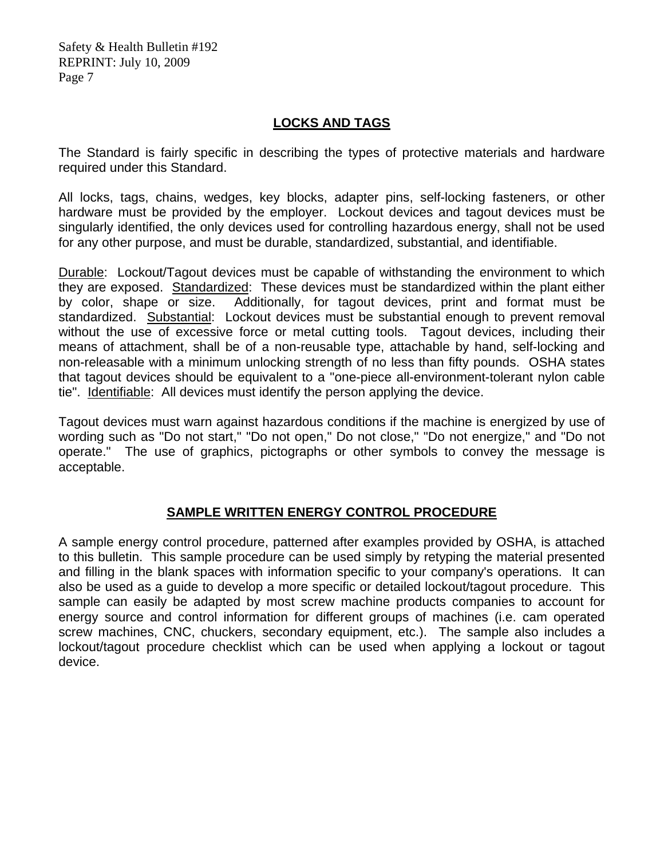### **LOCKS AND TAGS**

The Standard is fairly specific in describing the types of protective materials and hardware required under this Standard.

All locks, tags, chains, wedges, key blocks, adapter pins, self-locking fasteners, or other hardware must be provided by the employer. Lockout devices and tagout devices must be singularly identified, the only devices used for controlling hazardous energy, shall not be used for any other purpose, and must be durable, standardized, substantial, and identifiable.

Durable: Lockout/Tagout devices must be capable of withstanding the environment to which they are exposed. Standardized: These devices must be standardized within the plant either by color, shape or size. Additionally, for tagout devices, print and format must be standardized. Substantial: Lockout devices must be substantial enough to prevent removal without the use of excessive force or metal cutting tools. Tagout devices, including their means of attachment, shall be of a non-reusable type, attachable by hand, self-locking and non-releasable with a minimum unlocking strength of no less than fifty pounds. OSHA states that tagout devices should be equivalent to a "one-piece all-environment-tolerant nylon cable tie". Identifiable: All devices must identify the person applying the device.

Tagout devices must warn against hazardous conditions if the machine is energized by use of wording such as "Do not start," "Do not open," Do not close," "Do not energize," and "Do not operate." The use of graphics, pictographs or other symbols to convey the message is acceptable.

# **SAMPLE WRITTEN ENERGY CONTROL PROCEDURE**

A sample energy control procedure, patterned after examples provided by OSHA, is attached to this bulletin. This sample procedure can be used simply by retyping the material presented and filling in the blank spaces with information specific to your company's operations. It can also be used as a guide to develop a more specific or detailed lockout/tagout procedure. This sample can easily be adapted by most screw machine products companies to account for energy source and control information for different groups of machines (i.e. cam operated screw machines, CNC, chuckers, secondary equipment, etc.). The sample also includes a lockout/tagout procedure checklist which can be used when applying a lockout or tagout device.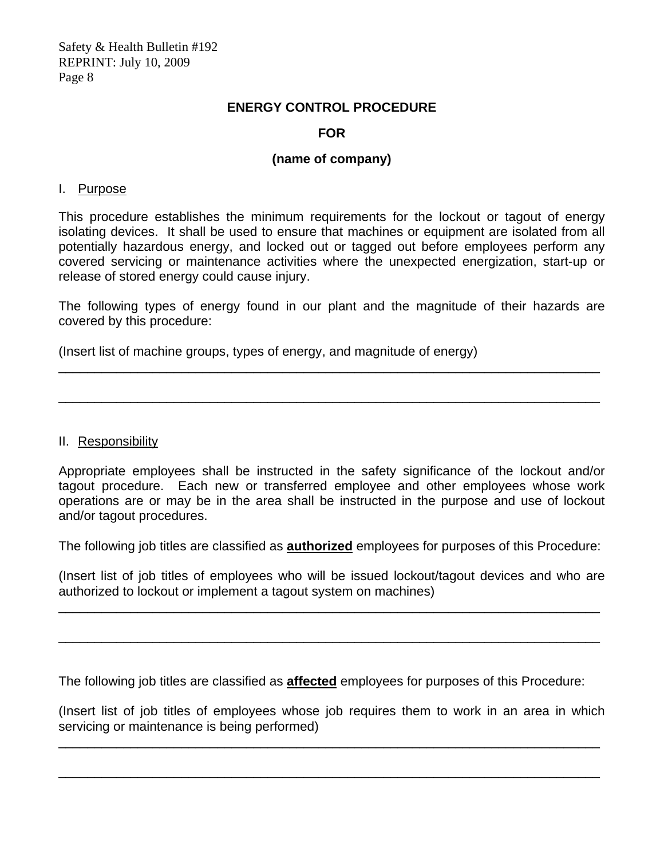#### **ENERGY CONTROL PROCEDURE**

#### **FOR**

#### **(name of company)**

#### I. Purpose

This procedure establishes the minimum requirements for the lockout or tagout of energy isolating devices. It shall be used to ensure that machines or equipment are isolated from all potentially hazardous energy, and locked out or tagged out before employees perform any covered servicing or maintenance activities where the unexpected energization, start-up or release of stored energy could cause injury.

The following types of energy found in our plant and the magnitude of their hazards are covered by this procedure:

\_\_\_\_\_\_\_\_\_\_\_\_\_\_\_\_\_\_\_\_\_\_\_\_\_\_\_\_\_\_\_\_\_\_\_\_\_\_\_\_\_\_\_\_\_\_\_\_\_\_\_\_\_\_\_\_\_\_\_\_\_\_\_\_\_\_\_\_\_\_\_\_\_\_\_

\_\_\_\_\_\_\_\_\_\_\_\_\_\_\_\_\_\_\_\_\_\_\_\_\_\_\_\_\_\_\_\_\_\_\_\_\_\_\_\_\_\_\_\_\_\_\_\_\_\_\_\_\_\_\_\_\_\_\_\_\_\_\_\_\_\_\_\_\_\_\_\_\_\_\_

(Insert list of machine groups, types of energy, and magnitude of energy)

II. Responsibility

Appropriate employees shall be instructed in the safety significance of the lockout and/or tagout procedure. Each new or transferred employee and other employees whose work operations are or may be in the area shall be instructed in the purpose and use of lockout and/or tagout procedures.

The following job titles are classified as **authorized** employees for purposes of this Procedure:

(Insert list of job titles of employees who will be issued lockout/tagout devices and who are authorized to lockout or implement a tagout system on machines)

\_\_\_\_\_\_\_\_\_\_\_\_\_\_\_\_\_\_\_\_\_\_\_\_\_\_\_\_\_\_\_\_\_\_\_\_\_\_\_\_\_\_\_\_\_\_\_\_\_\_\_\_\_\_\_\_\_\_\_\_\_\_\_\_\_\_\_\_\_\_\_\_\_\_\_

\_\_\_\_\_\_\_\_\_\_\_\_\_\_\_\_\_\_\_\_\_\_\_\_\_\_\_\_\_\_\_\_\_\_\_\_\_\_\_\_\_\_\_\_\_\_\_\_\_\_\_\_\_\_\_\_\_\_\_\_\_\_\_\_\_\_\_\_\_\_\_\_\_\_\_

The following job titles are classified as **affected** employees for purposes of this Procedure:

(Insert list of job titles of employees whose job requires them to work in an area in which servicing or maintenance is being performed)

\_\_\_\_\_\_\_\_\_\_\_\_\_\_\_\_\_\_\_\_\_\_\_\_\_\_\_\_\_\_\_\_\_\_\_\_\_\_\_\_\_\_\_\_\_\_\_\_\_\_\_\_\_\_\_\_\_\_\_\_\_\_\_\_\_\_\_\_\_\_\_\_\_\_\_

\_\_\_\_\_\_\_\_\_\_\_\_\_\_\_\_\_\_\_\_\_\_\_\_\_\_\_\_\_\_\_\_\_\_\_\_\_\_\_\_\_\_\_\_\_\_\_\_\_\_\_\_\_\_\_\_\_\_\_\_\_\_\_\_\_\_\_\_\_\_\_\_\_\_\_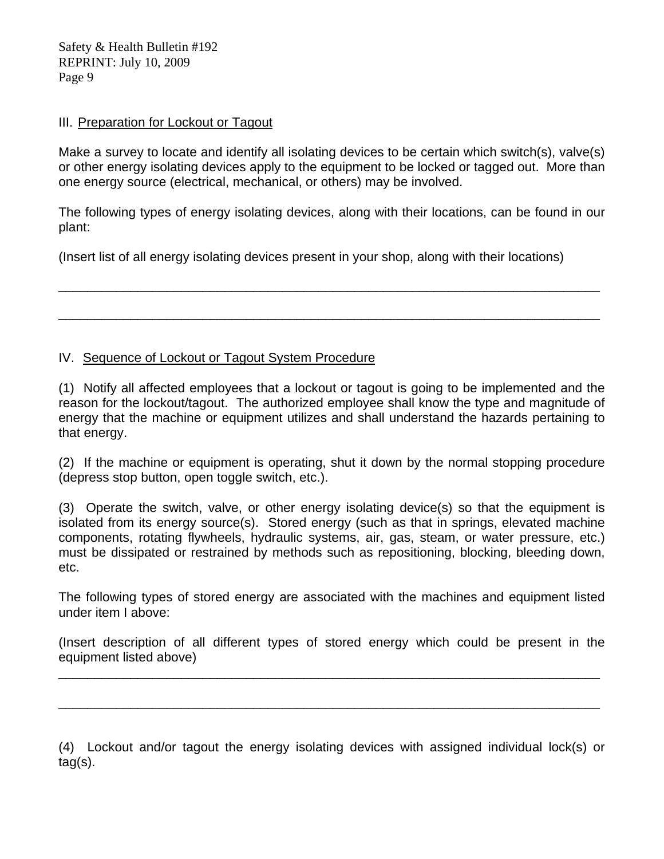#### III. Preparation for Lockout or Tagout

Make a survey to locate and identify all isolating devices to be certain which switch(s), valve(s) or other energy isolating devices apply to the equipment to be locked or tagged out. More than one energy source (electrical, mechanical, or others) may be involved.

The following types of energy isolating devices, along with their locations, can be found in our plant:

\_\_\_\_\_\_\_\_\_\_\_\_\_\_\_\_\_\_\_\_\_\_\_\_\_\_\_\_\_\_\_\_\_\_\_\_\_\_\_\_\_\_\_\_\_\_\_\_\_\_\_\_\_\_\_\_\_\_\_\_\_\_\_\_\_\_\_\_\_\_\_\_\_\_\_

\_\_\_\_\_\_\_\_\_\_\_\_\_\_\_\_\_\_\_\_\_\_\_\_\_\_\_\_\_\_\_\_\_\_\_\_\_\_\_\_\_\_\_\_\_\_\_\_\_\_\_\_\_\_\_\_\_\_\_\_\_\_\_\_\_\_\_\_\_\_\_\_\_\_\_

(Insert list of all energy isolating devices present in your shop, along with their locations)

#### IV. Sequence of Lockout or Tagout System Procedure

(1) Notify all affected employees that a lockout or tagout is going to be implemented and the reason for the lockout/tagout. The authorized employee shall know the type and magnitude of energy that the machine or equipment utilizes and shall understand the hazards pertaining to that energy.

(2) If the machine or equipment is operating, shut it down by the normal stopping procedure (depress stop button, open toggle switch, etc.).

(3) Operate the switch, valve, or other energy isolating device(s) so that the equipment is isolated from its energy source(s). Stored energy (such as that in springs, elevated machine components, rotating flywheels, hydraulic systems, air, gas, steam, or water pressure, etc.) must be dissipated or restrained by methods such as repositioning, blocking, bleeding down, etc.

The following types of stored energy are associated with the machines and equipment listed under item I above:

(Insert description of all different types of stored energy which could be present in the equipment listed above)

\_\_\_\_\_\_\_\_\_\_\_\_\_\_\_\_\_\_\_\_\_\_\_\_\_\_\_\_\_\_\_\_\_\_\_\_\_\_\_\_\_\_\_\_\_\_\_\_\_\_\_\_\_\_\_\_\_\_\_\_\_\_\_\_\_\_\_\_\_\_\_\_\_\_\_

\_\_\_\_\_\_\_\_\_\_\_\_\_\_\_\_\_\_\_\_\_\_\_\_\_\_\_\_\_\_\_\_\_\_\_\_\_\_\_\_\_\_\_\_\_\_\_\_\_\_\_\_\_\_\_\_\_\_\_\_\_\_\_\_\_\_\_\_\_\_\_\_\_\_\_

(4) Lockout and/or tagout the energy isolating devices with assigned individual lock(s) or tag(s).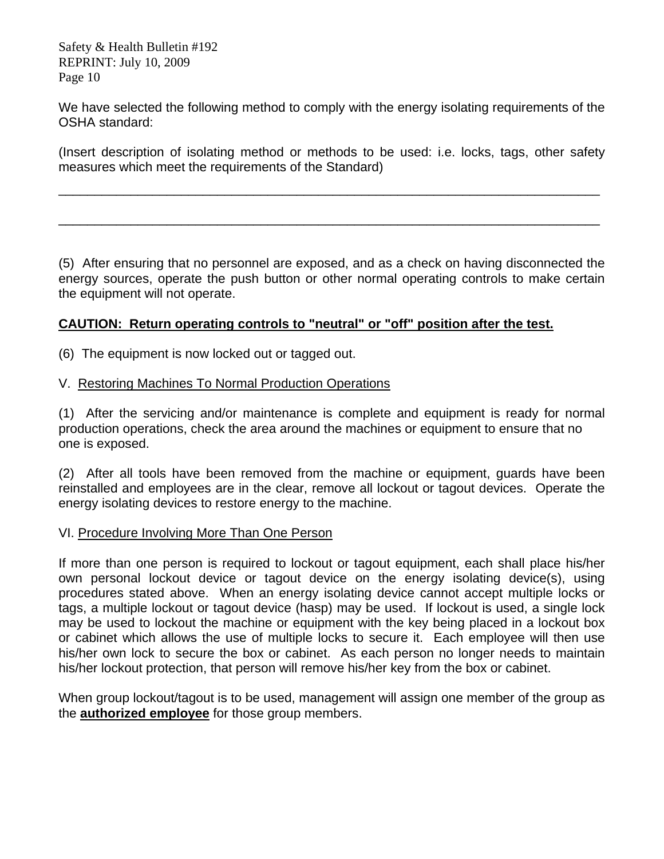We have selected the following method to comply with the energy isolating requirements of the OSHA standard:

(Insert description of isolating method or methods to be used: i.e. locks, tags, other safety measures which meet the requirements of the Standard)

\_\_\_\_\_\_\_\_\_\_\_\_\_\_\_\_\_\_\_\_\_\_\_\_\_\_\_\_\_\_\_\_\_\_\_\_\_\_\_\_\_\_\_\_\_\_\_\_\_\_\_\_\_\_\_\_\_\_\_\_\_\_\_\_\_\_\_\_\_\_\_\_\_\_\_

\_\_\_\_\_\_\_\_\_\_\_\_\_\_\_\_\_\_\_\_\_\_\_\_\_\_\_\_\_\_\_\_\_\_\_\_\_\_\_\_\_\_\_\_\_\_\_\_\_\_\_\_\_\_\_\_\_\_\_\_\_\_\_\_\_\_\_\_\_\_\_\_\_\_\_

(5) After ensuring that no personnel are exposed, and as a check on having disconnected the energy sources, operate the push button or other normal operating controls to make certain the equipment will not operate.

#### **CAUTION: Return operating controls to "neutral" or "off" position after the test.**

(6) The equipment is now locked out or tagged out.

#### V. Restoring Machines To Normal Production Operations

(1) After the servicing and/or maintenance is complete and equipment is ready for normal production operations, check the area around the machines or equipment to ensure that no one is exposed.

(2) After all tools have been removed from the machine or equipment, guards have been reinstalled and employees are in the clear, remove all lockout or tagout devices. Operate the energy isolating devices to restore energy to the machine.

#### VI. Procedure Involving More Than One Person

If more than one person is required to lockout or tagout equipment, each shall place his/her own personal lockout device or tagout device on the energy isolating device(s), using procedures stated above. When an energy isolating device cannot accept multiple locks or tags, a multiple lockout or tagout device (hasp) may be used. If lockout is used, a single lock may be used to lockout the machine or equipment with the key being placed in a lockout box or cabinet which allows the use of multiple locks to secure it. Each employee will then use his/her own lock to secure the box or cabinet. As each person no longer needs to maintain his/her lockout protection, that person will remove his/her key from the box or cabinet.

When group lockout/tagout is to be used, management will assign one member of the group as the **authorized employee** for those group members.